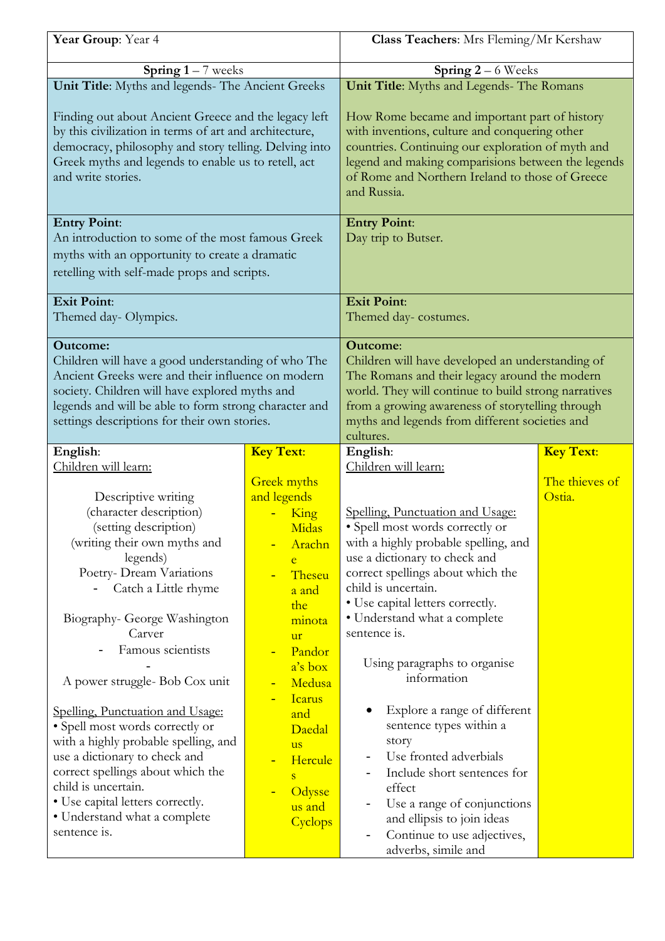| Year Group: Year 4                                                                                                                                                                                                                                                                                                                                                                                                                                                                                                                                                      |                                                                                                                                                                                                                                                                       | Class Teachers: Mrs Fleming/Mr Kershaw                                                                                                                                                                                                                                                                                                                                                                                                                                                                                                                                                                |                          |
|-------------------------------------------------------------------------------------------------------------------------------------------------------------------------------------------------------------------------------------------------------------------------------------------------------------------------------------------------------------------------------------------------------------------------------------------------------------------------------------------------------------------------------------------------------------------------|-----------------------------------------------------------------------------------------------------------------------------------------------------------------------------------------------------------------------------------------------------------------------|-------------------------------------------------------------------------------------------------------------------------------------------------------------------------------------------------------------------------------------------------------------------------------------------------------------------------------------------------------------------------------------------------------------------------------------------------------------------------------------------------------------------------------------------------------------------------------------------------------|--------------------------|
| <b>Spring 1</b> – 7 weeks                                                                                                                                                                                                                                                                                                                                                                                                                                                                                                                                               |                                                                                                                                                                                                                                                                       | <b>Spring 2</b> – 6 Weeks                                                                                                                                                                                                                                                                                                                                                                                                                                                                                                                                                                             |                          |
| Unit Title: Myths and legends- The Ancient Greeks                                                                                                                                                                                                                                                                                                                                                                                                                                                                                                                       |                                                                                                                                                                                                                                                                       | Unit Title: Myths and Legends- The Romans                                                                                                                                                                                                                                                                                                                                                                                                                                                                                                                                                             |                          |
| Finding out about Ancient Greece and the legacy left<br>by this civilization in terms of art and architecture,<br>democracy, philosophy and story telling. Delving into<br>Greek myths and legends to enable us to retell, act<br>and write stories.                                                                                                                                                                                                                                                                                                                    |                                                                                                                                                                                                                                                                       | How Rome became and important part of history<br>with inventions, culture and conquering other<br>countries. Continuing our exploration of myth and<br>legend and making comparisions between the legends<br>of Rome and Northern Ireland to those of Greece<br>and Russia.                                                                                                                                                                                                                                                                                                                           |                          |
| <b>Entry Point:</b><br>An introduction to some of the most famous Greek<br>myths with an opportunity to create a dramatic<br>retelling with self-made props and scripts.                                                                                                                                                                                                                                                                                                                                                                                                |                                                                                                                                                                                                                                                                       | <b>Entry Point:</b><br>Day trip to Butser.                                                                                                                                                                                                                                                                                                                                                                                                                                                                                                                                                            |                          |
| <b>Exit Point:</b>                                                                                                                                                                                                                                                                                                                                                                                                                                                                                                                                                      |                                                                                                                                                                                                                                                                       | <b>Exit Point:</b>                                                                                                                                                                                                                                                                                                                                                                                                                                                                                                                                                                                    |                          |
| Themed day- Olympics.                                                                                                                                                                                                                                                                                                                                                                                                                                                                                                                                                   |                                                                                                                                                                                                                                                                       | Themed day-costumes.                                                                                                                                                                                                                                                                                                                                                                                                                                                                                                                                                                                  |                          |
| <b>Outcome:</b><br>Children will have a good understanding of who The<br>Ancient Greeks were and their influence on modern<br>society. Children will have explored myths and<br>legends and will be able to form strong character and<br>settings descriptions for their own stories.                                                                                                                                                                                                                                                                                   |                                                                                                                                                                                                                                                                       | <b>Outcome:</b><br>Children will have developed an understanding of<br>The Romans and their legacy around the modern<br>world. They will continue to build strong narratives<br>from a growing awareness of storytelling through<br>myths and legends from different societies and<br>cultures.                                                                                                                                                                                                                                                                                                       |                          |
| English:                                                                                                                                                                                                                                                                                                                                                                                                                                                                                                                                                                | <b>Key Text:</b>                                                                                                                                                                                                                                                      | English:                                                                                                                                                                                                                                                                                                                                                                                                                                                                                                                                                                                              | <b>Key Text:</b>         |
| Children will learn:                                                                                                                                                                                                                                                                                                                                                                                                                                                                                                                                                    |                                                                                                                                                                                                                                                                       | Children will learn:                                                                                                                                                                                                                                                                                                                                                                                                                                                                                                                                                                                  |                          |
| Descriptive writing<br>(character description)<br>(setting description)<br>(writing their own myths and<br>legends)<br>Poetry- Dream Variations<br>Catch a Little rhyme<br>Biography- George Washington<br>Carver<br>Famous scientists<br>A power struggle-Bob Cox unit<br>Spelling, Punctuation and Usage:<br>• Spell most words correctly or<br>with a highly probable spelling, and<br>use a dictionary to check and<br>correct spellings about which the<br>child is uncertain.<br>• Use capital letters correctly.<br>• Understand what a complete<br>sentence is. | <b>Greek</b> myths<br>and legends<br>King<br>Midas<br>Arachn<br>e<br>Theseu<br>a and<br>the<br>minota<br><b>ur</b><br>Pandor<br>a's box<br>Medusa<br><b>Icarus</b><br>and<br>Daedal<br><b>us</b><br>Hercule<br>$\overline{\mathbf{S}}$<br>Odysse<br>us and<br>Cyclops | Spelling, Punctuation and Usage:<br>• Spell most words correctly or<br>with a highly probable spelling, and<br>use a dictionary to check and<br>correct spellings about which the<br>child is uncertain.<br>• Use capital letters correctly.<br>• Understand what a complete<br>sentence is.<br>Using paragraphs to organise<br>information<br>Explore a range of different<br>sentence types within a<br>story<br>Use fronted adverbials<br>Include short sentences for<br>effect<br>Use a range of conjunctions<br>and ellipsis to join ideas<br>Continue to use adjectives,<br>adverbs, simile and | The thieves of<br>Ostia. |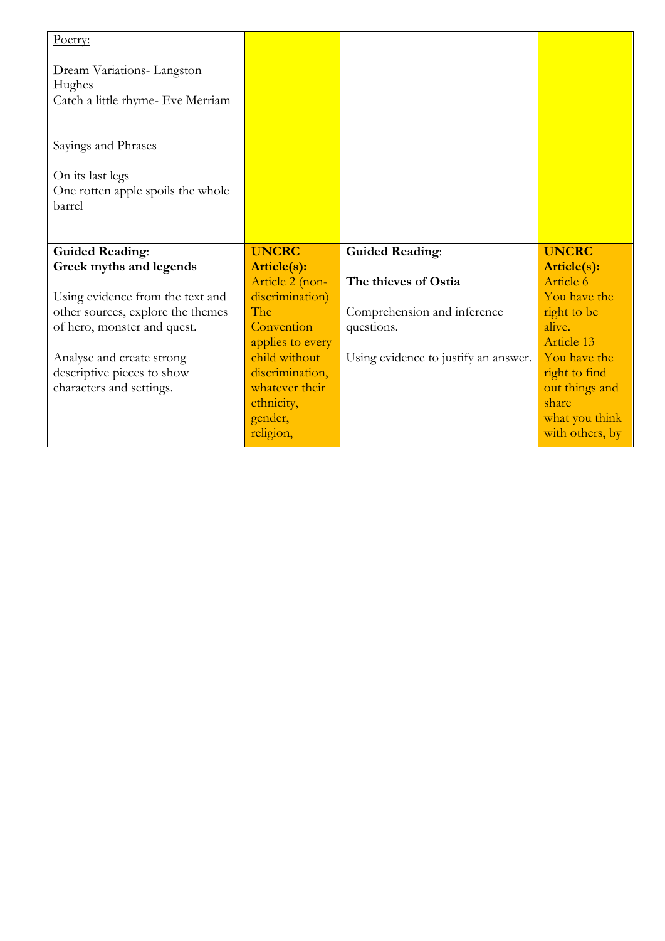| Poetry:                                                                  |                                    |                                      |                                   |
|--------------------------------------------------------------------------|------------------------------------|--------------------------------------|-----------------------------------|
| Dream Variations-Langston<br>Hughes<br>Catch a little rhyme- Eve Merriam |                                    |                                      |                                   |
| Sayings and Phrases                                                      |                                    |                                      |                                   |
| On its last legs<br>One rotten apple spoils the whole<br>barrel          |                                    |                                      |                                   |
|                                                                          |                                    |                                      |                                   |
|                                                                          |                                    |                                      |                                   |
| <b>Guided Reading:</b>                                                   | <b>UNCRC</b>                       | <b>Guided Reading:</b>               | <b>UNCRC</b>                      |
| <b>Greek myths and legends</b>                                           | Article(s):                        | The thieves of Ostia                 | Article(s):<br>Article 6          |
| Using evidence from the text and                                         | Article 2 (non-<br>discrimination) |                                      | You have the                      |
| other sources, explore the themes                                        | The                                | Comprehension and inference          | right to be                       |
| of hero, monster and quest.                                              | Convention                         | questions.                           | alive.                            |
|                                                                          | applies to every                   |                                      | Article 13                        |
| Analyse and create strong                                                | child without                      | Using evidence to justify an answer. | You have the                      |
| descriptive pieces to show                                               | discrimination,                    |                                      | right to find                     |
| characters and settings.                                                 | whatever their                     |                                      | out things and                    |
|                                                                          | ethnicity,                         |                                      | share                             |
|                                                                          | gender,<br>religion,               |                                      | what you think<br>with others, by |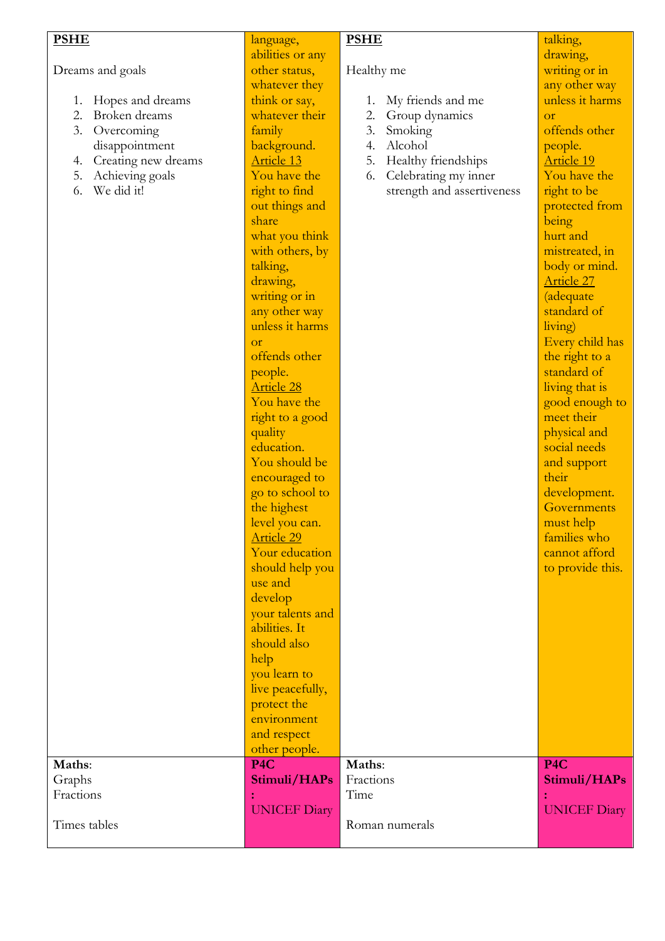| <b>PSHE</b>               | language,           | <b>PSHE</b>                | talking,            |
|---------------------------|---------------------|----------------------------|---------------------|
|                           | abilities or any    |                            | drawing,            |
| Dreams and goals          | other status,       | Healthy me                 | writing or in       |
|                           | whatever they       |                            | any other way       |
| Hopes and dreams<br>1.    | think or say,       | My friends and me<br>1.    | unless it harms     |
| 2.<br>Broken dreams       | whatever their      | 2.<br>Group dynamics       | or                  |
| 3.<br>Overcoming          | family              | 3.<br>Smoking              | offends other       |
|                           | background.         | Alcohol<br>4.              |                     |
| disappointment            |                     |                            | people.             |
| Creating new dreams<br>4. | Article 13          | 5.<br>Healthy friendships  | <b>Article 19</b>   |
| Achieving goals<br>5.     | You have the        | Celebrating my inner<br>6. | You have the        |
| We did it!<br>6.          | right to find       | strength and assertiveness | right to be         |
|                           | out things and      |                            | protected from      |
|                           | share               |                            | being               |
|                           | what you think      |                            | hurt and            |
|                           | with others, by     |                            | mistreated, in      |
|                           | talking,            |                            | body or mind.       |
|                           | drawing,            |                            | Article 27          |
|                           | writing or in       |                            | <i>(adequate</i>    |
|                           | any other way       |                            | standard of         |
|                           | unless it harms     |                            | living)             |
|                           | <b>Or</b>           |                            | Every child has     |
|                           | offends other       |                            | the right to a      |
|                           | people.             |                            | standard of         |
|                           | <b>Article 28</b>   |                            | living that is      |
|                           | You have the        |                            | good enough to      |
|                           |                     |                            | meet their          |
|                           | right to a good     |                            |                     |
|                           | quality             |                            | physical and        |
|                           | education.          |                            | social needs        |
|                           | You should be       |                            | and support         |
|                           | encouraged to       |                            | their               |
|                           | go to school to     |                            | development.        |
|                           | the highest         |                            | Governments         |
|                           | level you can.      |                            | must help           |
|                           | <u>Article 29</u>   |                            | families who        |
|                           | Your education      |                            | cannot afford       |
|                           | should help you     |                            | to provide this.    |
|                           | use and             |                            |                     |
|                           | develop             |                            |                     |
|                           | your talents and    |                            |                     |
|                           | abilities. It       |                            |                     |
|                           | should also         |                            |                     |
|                           | help                |                            |                     |
|                           | you learn to        |                            |                     |
|                           | live peacefully,    |                            |                     |
|                           | protect the         |                            |                     |
|                           | environment         |                            |                     |
|                           | and respect         |                            |                     |
|                           | other people.       |                            |                     |
| Maths:                    | P <sub>4C</sub>     | Maths:                     | P <sub>4</sub> C    |
| Graphs                    | Stimuli/HAPs        | Fractions                  | Stimuli/HAPs        |
| Fractions                 | ċ                   | Time                       |                     |
|                           | <b>UNICEF Diary</b> |                            | <b>UNICEF Diary</b> |
| Times tables              |                     | Roman numerals             |                     |
|                           |                     |                            |                     |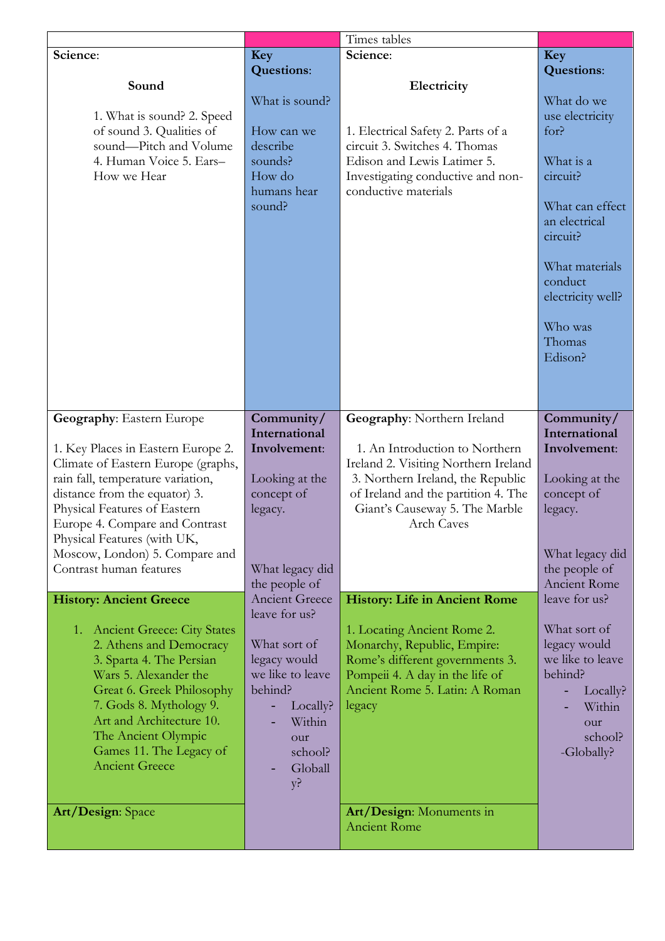|                                                                         |                                  | Times tables                                                              |                                      |
|-------------------------------------------------------------------------|----------------------------------|---------------------------------------------------------------------------|--------------------------------------|
| Science:                                                                | Key                              | Science:                                                                  | Key                                  |
|                                                                         | <b>Questions:</b>                |                                                                           | <b>Questions:</b>                    |
| Sound                                                                   | What is sound?                   | Electricity                                                               | What do we                           |
| 1. What is sound? 2. Speed                                              |                                  |                                                                           | use electricity                      |
| of sound 3. Qualities of                                                | How can we                       | 1. Electrical Safety 2. Parts of a                                        | for?                                 |
| sound-Pitch and Volume                                                  | describe                         | circuit 3. Switches 4. Thomas                                             |                                      |
| 4. Human Voice 5. Ears-                                                 | sounds?                          | Edison and Lewis Latimer 5.                                               | What is a                            |
| How we Hear                                                             | How do                           | Investigating conductive and non-                                         | circuit?                             |
|                                                                         | humans hear                      | conductive materials                                                      |                                      |
|                                                                         | sound?                           |                                                                           | What can effect                      |
|                                                                         |                                  |                                                                           | an electrical                        |
|                                                                         |                                  |                                                                           | circuit?                             |
|                                                                         |                                  |                                                                           | What materials                       |
|                                                                         |                                  |                                                                           | conduct                              |
|                                                                         |                                  |                                                                           | electricity well?                    |
|                                                                         |                                  |                                                                           |                                      |
|                                                                         |                                  |                                                                           | Who was                              |
|                                                                         |                                  |                                                                           | Thomas                               |
|                                                                         |                                  |                                                                           | Edison?                              |
|                                                                         |                                  |                                                                           |                                      |
|                                                                         |                                  |                                                                           |                                      |
| <b>Geography: Eastern Europe</b>                                        | Community/                       | Geography: Northern Ireland                                               | Community/                           |
|                                                                         | International                    |                                                                           | International                        |
| 1. Key Places in Eastern Europe 2.                                      | Involvement:                     | 1. An Introduction to Northern                                            | Involvement:                         |
| Climate of Eastern Europe (graphs,<br>rain fall, temperature variation, | Looking at the                   | Ireland 2. Visiting Northern Ireland<br>3. Northern Ireland, the Republic | Looking at the                       |
| distance from the equator) 3.                                           | concept of                       | of Ireland and the partition 4. The                                       | concept of                           |
| Physical Features of Eastern                                            | legacy.                          | Giant's Causeway 5. The Marble                                            | legacy.                              |
| Europe 4. Compare and Contrast                                          |                                  | Arch Caves                                                                |                                      |
| Physical Features (with UK,                                             |                                  |                                                                           |                                      |
| Moscow, London) 5. Compare and                                          |                                  |                                                                           | What legacy did                      |
| Contrast human features                                                 | What legacy did<br>the people of |                                                                           | the people of<br><b>Ancient Rome</b> |
| <b>History: Ancient Greece</b>                                          | <b>Ancient Greece</b>            | <b>History: Life in Ancient Rome</b>                                      | leave for us?                        |
|                                                                         | leave for us?                    |                                                                           |                                      |
| 1. Ancient Greece: City States                                          |                                  | 1. Locating Ancient Rome 2.                                               | What sort of                         |
| 2. Athens and Democracy                                                 | What sort of                     | Monarchy, Republic, Empire:                                               | legacy would                         |
| 3. Sparta 4. The Persian                                                | legacy would                     | Rome's different governments 3.                                           | we like to leave                     |
| Wars 5. Alexander the                                                   | we like to leave<br>behind?      | Pompeii 4. A day in the life of<br>Ancient Rome 5. Latin: A Roman         | behind?                              |
| Great 6. Greek Philosophy<br>7. Gods 8. Mythology 9.                    | Locally?                         | legacy                                                                    | Locally?<br>٠<br>Within              |
| Art and Architecture 10.                                                | Within                           |                                                                           | our                                  |
| The Ancient Olympic                                                     | our                              |                                                                           | school?                              |
| Games 11. The Legacy of                                                 | school?                          |                                                                           | -Globally?                           |
| <b>Ancient Greece</b>                                                   | Globall                          |                                                                           |                                      |
|                                                                         | $y$ ?                            |                                                                           |                                      |
| Art/Design: Space                                                       |                                  | Art/Design: Monuments in                                                  |                                      |
|                                                                         |                                  | <b>Ancient Rome</b>                                                       |                                      |
|                                                                         |                                  |                                                                           |                                      |